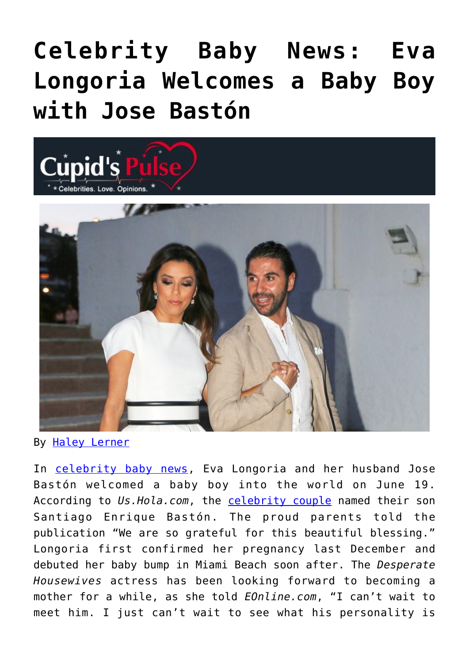## **[Celebrity Baby News: Eva](https://cupidspulse.com/125310/celebrity-baby-news-eva-longoria-welcomes-baby-boy-with-jose-baston/) [Longoria Welcomes a Baby Boy](https://cupidspulse.com/125310/celebrity-baby-news-eva-longoria-welcomes-baby-boy-with-jose-baston/) [with Jose Bastón](https://cupidspulse.com/125310/celebrity-baby-news-eva-longoria-welcomes-baby-boy-with-jose-baston/)**



By [Haley Lerner](http://cupidspulse.com/126165/haley-lerner/)

In [celebrity baby news,](http://cupidspulse.com/celebrity-relationships/celebrity-babies/) Eva Longoria and her husband Jose Bastón welcomed a baby boy into the world on June 19. According to *Us.Hola.com*, the [celebrity couple](http://cupidspulse.com/celebrity-news/celebrity-dating/) named their son Santiago Enrique Bastón. The proud parents told the publication "We are so grateful for this beautiful blessing." Longoria first confirmed her pregnancy last December and debuted her baby bump in Miami Beach soon after. The *Desperate Housewives* actress has been looking forward to becoming a mother for a while, as she told *EOnline.com*, "I can't wait to meet him. I just can't wait to see what his personality is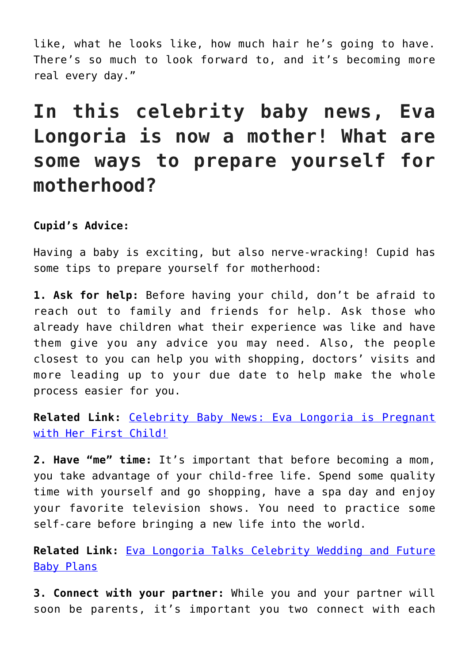like, what he looks like, how much hair he's going to have. There's so much to look forward to, and it's becoming more real every day."

## **In this celebrity baby news, Eva Longoria is now a mother! What are some ways to prepare yourself for motherhood?**

## **Cupid's Advice:**

Having a baby is exciting, but also nerve-wracking! Cupid has some tips to prepare yourself for motherhood:

**1. Ask for help:** Before having your child, don't be afraid to reach out to family and friends for help. Ask those who already have children what their experience was like and have them give you any advice you may need. Also, the people closest to you can help you with shopping, doctors' visits and more leading up to your due date to help make the whole process easier for you.

**Related Link:** [Celebrity Baby News: Eva Longoria is Pregnant](http://cupidspulse.com/122228/celebrity-baby-news-eva-longoria-pregnant-first-child/) [with Her First Child!](http://cupidspulse.com/122228/celebrity-baby-news-eva-longoria-pregnant-first-child/)

**2. Have "me" time:** It's important that before becoming a mom, you take advantage of your child-free life. Spend some quality time with yourself and go shopping, have a spa day and enjoy your favorite television shows. You need to practice some self-care before bringing a new life into the world.

**Related Link:** [Eva Longoria Talks Celebrity Wedding and Future](http://cupidspulse.com/109643/eva-longoria-celebrity-wedding-baby-plans/) [Baby Plans](http://cupidspulse.com/109643/eva-longoria-celebrity-wedding-baby-plans/)

**3. Connect with your partner:** While you and your partner will soon be parents, it's important you two connect with each